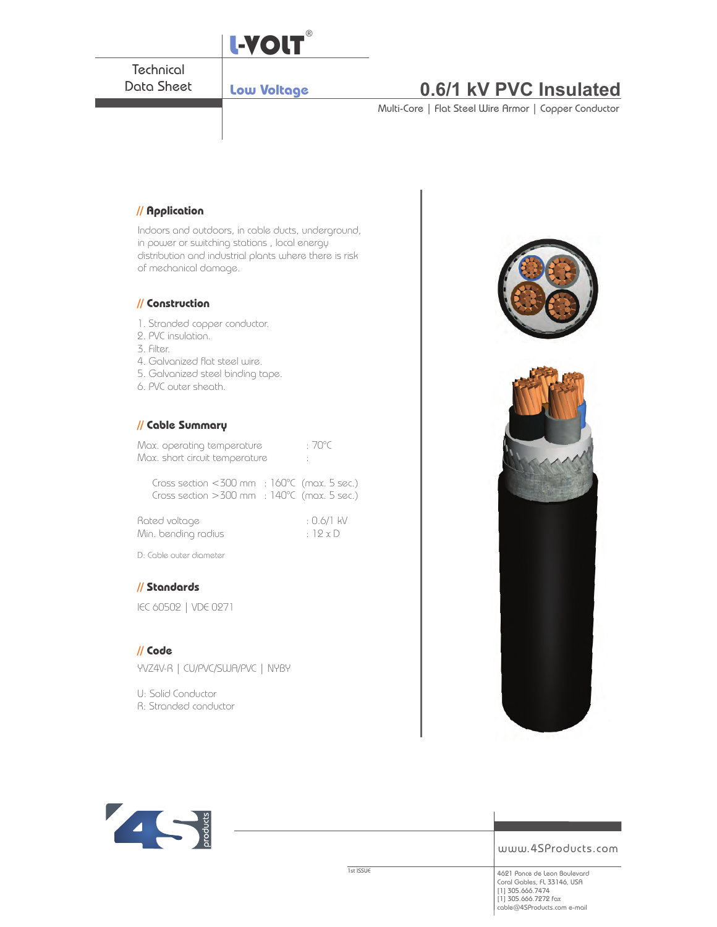

www.4SProducts.com